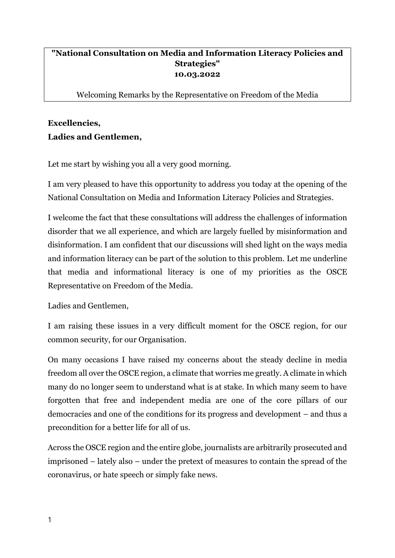## **"National Consultation on Media and Information Literacy Policies and Strategies" 10.03.2022**

Welcoming Remarks by the Representative on Freedom of the Media

## **Excellencies, Ladies and Gentlemen,**

Let me start by wishing you all a very good morning.

I am very pleased to have this opportunity to address you today at the opening of the National Consultation on Media and Information Literacy Policies and Strategies.

I welcome the fact that these consultations will address the challenges of information disorder that we all experience, and which are largely fuelled by misinformation and disinformation. I am confident that our discussions will shed light on the ways media and information literacy can be part of the solution to this problem. Let me underline that media and informational literacy is one of my priorities as the OSCE Representative on Freedom of the Media.

Ladies and Gentlemen,

I am raising these issues in a very difficult moment for the OSCE region, for our common security, for our Organisation.

On many occasions I have raised my concerns about the steady decline in media freedom all over the OSCE region, a climate that worries me greatly. A climate in which many do no longer seem to understand what is at stake. In which many seem to have forgotten that free and independent media are one of the core pillars of our democracies and one of the conditions for its progress and development – and thus a precondition for a better life for all of us.

Across the OSCE region and the entire globe, journalists are arbitrarily prosecuted and imprisoned – lately also – under the pretext of measures to contain the spread of the coronavirus, or hate speech or simply fake news.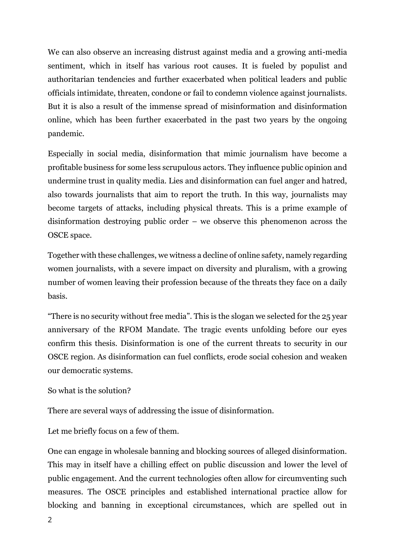We can also observe an increasing distrust against media and a growing anti-media sentiment, which in itself has various root causes. It is fueled by populist and authoritarian tendencies and further exacerbated when political leaders and public officials intimidate, threaten, condone or fail to condemn violence against journalists. But it is also a result of the immense spread of misinformation and disinformation online, which has been further exacerbated in the past two years by the ongoing pandemic.

Especially in social media, disinformation that mimic journalism have become a profitable business for some less scrupulous actors. They influence public opinion and undermine trust in quality media. Lies and disinformation can fuel anger and hatred, also towards journalists that aim to report the truth. In this way, journalists may become targets of attacks, including physical threats. This is a prime example of disinformation destroying public order – we observe this phenomenon across the OSCE space.

Together with these challenges, we witness a decline of online safety, namely regarding women journalists, with a severe impact on diversity and pluralism, with a growing number of women leaving their profession because of the threats they face on a daily basis.

"There is no security without free media". This is the slogan we selected for the 25 year anniversary of the RFOM Mandate. The tragic events unfolding before our eyes confirm this thesis. Disinformation is one of the current threats to security in our OSCE region. As disinformation can fuel conflicts, erode social cohesion and weaken our democratic systems.

```
So what is the solution?
```
There are several ways of addressing the issue of disinformation.

Let me briefly focus on a few of them.

One can engage in wholesale banning and blocking sources of alleged disinformation. This may in itself have a chilling effect on public discussion and lower the level of public engagement. And the current technologies often allow for circumventing such measures. The OSCE principles and established international practice allow for blocking and banning in exceptional circumstances, which are spelled out in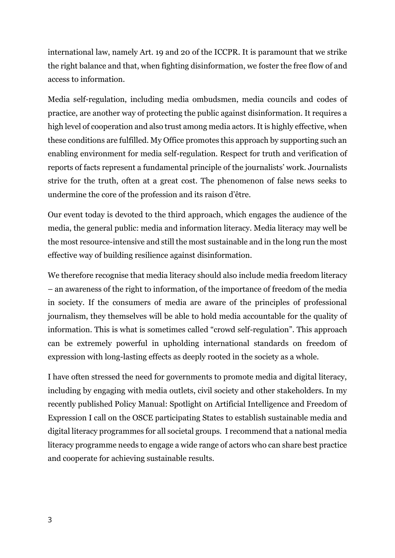international law, namely Art. 19 and 20 of the ICCPR. It is paramount that we strike the right balance and that, when fighting disinformation, we foster the free flow of and access to information.

Media self-regulation, including media ombudsmen, media councils and codes of practice, are another way of protecting the public against disinformation. It requires a high level of cooperation and also trust among media actors. It is highly effective, when these conditions are fulfilled. My Office promotes this approach by supporting such an enabling environment for media self-regulation. Respect for truth and verification of reports of facts represent a fundamental principle of the journalists' work. Journalists strive for the truth, often at a great cost. The phenomenon of false news seeks to undermine the core of the profession and its raison d'être.

Our event today is devoted to the third approach, which engages the audience of the media, the general public: media and information literacy. Media literacy may well be the most resource-intensive and still the most sustainable and in the long run the most effective way of building resilience against disinformation.

We therefore recognise that media literacy should also include media freedom literacy – an awareness of the right to information, of the importance of freedom of the media in society. If the consumers of media are aware of the principles of professional journalism, they themselves will be able to hold media accountable for the quality of information. This is what is sometimes called "crowd self-regulation". This approach can be extremely powerful in upholding international standards on freedom of expression with long-lasting effects as deeply rooted in the society as a whole.

I have often stressed the need for governments to promote media and digital literacy, including by engaging with media outlets, civil society and other stakeholders. In my recently published Policy Manual: Spotlight on Artificial Intelligence and Freedom of Expression I call on the OSCE participating States to establish sustainable media and digital literacy programmes for all societal groups. I recommend that a national media literacy programme needs to engage a wide range of actors who can share best practice and cooperate for achieving sustainable results.